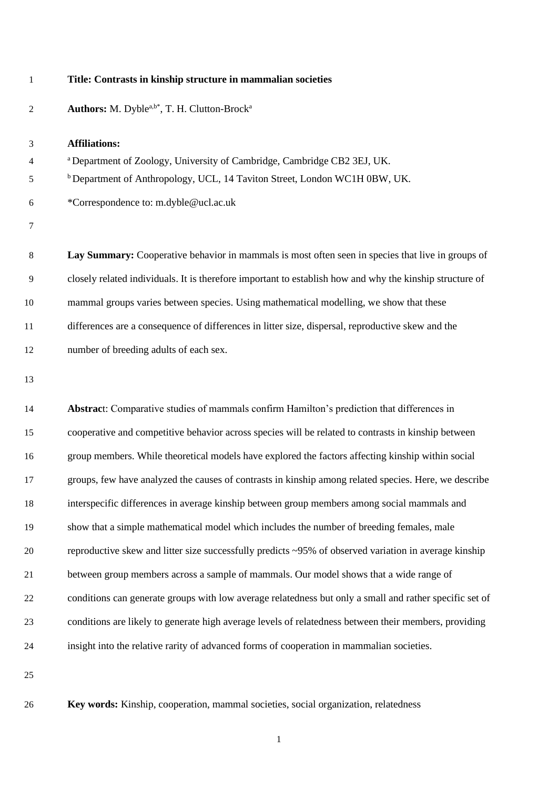## **Title: Contrasts in kinship structure in mammalian societies**

Authors: M. Dyble<sup>a,b\*</sup>, T. H. Clutton-Brock<sup>a</sup> 

**Affiliations:**

 <sup>a</sup>Department of Zoology, University of Cambridge, Cambridge CB2 3EJ, UK.

 b Department of Anthropology, UCL, 14 Taviton Street, London WC1H 0BW, UK.

\*Correspondence to: m.dyble@ucl.ac.uk

 **Lay Summary:** Cooperative behavior in mammals is most often seen in species that live in groups of closely related individuals. It is therefore important to establish how and why the kinship structure of mammal groups varies between species. Using mathematical modelling, we show that these differences are a consequence of differences in litter size, dispersal, reproductive skew and the number of breeding adults of each sex.

 **Abstrac**t: Comparative studies of mammals confirm Hamilton's prediction that differences in cooperative and competitive behavior across species will be related to contrasts in kinship between group members. While theoretical models have explored the factors affecting kinship within social groups, few have analyzed the causes of contrasts in kinship among related species. Here, we describe interspecific differences in average kinship between group members among social mammals and show that a simple mathematical model which includes the number of breeding females, male reproductive skew and litter size successfully predicts ~95% of observed variation in average kinship between group members across a sample of mammals. Our model shows that a wide range of conditions can generate groups with low average relatedness but only a small and rather specific set of conditions are likely to generate high average levels of relatedness between their members, providing insight into the relative rarity of advanced forms of cooperation in mammalian societies.

**Key words:** Kinship, cooperation, mammal societies, social organization, relatedness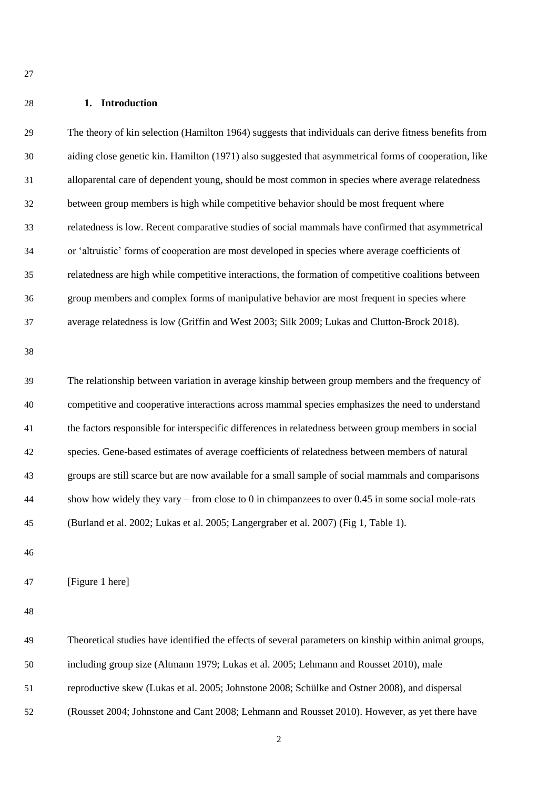### **1. Introduction**

 The theory of kin selection (Hamilton 1964) suggests that individuals can derive fitness benefits from aiding close genetic kin. Hamilton (1971) also suggested that asymmetrical forms of cooperation, like alloparental care of dependent young, should be most common in species where average relatedness between group members is high while competitive behavior should be most frequent where relatedness is low. Recent comparative studies of social mammals have confirmed that asymmetrical or 'altruistic' forms of cooperation are most developed in species where average coefficients of relatedness are high while competitive interactions, the formation of competitive coalitions between group members and complex forms of manipulative behavior are most frequent in species where average relatedness is low (Griffin and West 2003; Silk 2009; Lukas and Clutton-Brock 2018). 

 The relationship between variation in average kinship between group members and the frequency of competitive and cooperative interactions across mammal species emphasizes the need to understand the factors responsible for interspecific differences in relatedness between group members in social species. Gene-based estimates of average coefficients of relatedness between members of natural groups are still scarce but are now available for a small sample of social mammals and comparisons show how widely they vary – from close to 0 in chimpanzees to over 0.45 in some social mole-rats (Burland et al. 2002; Lukas et al. 2005; Langergraber et al. 2007) (Fig 1, Table 1).

[Figure 1 here]

 Theoretical studies have identified the effects of several parameters on kinship within animal groups, including group size (Altmann 1979; Lukas et al. 2005; Lehmann and Rousset 2010), male reproductive skew (Lukas et al. 2005; Johnstone 2008; Schülke and Ostner 2008), and dispersal (Rousset 2004; Johnstone and Cant 2008; Lehmann and Rousset 2010). However, as yet there have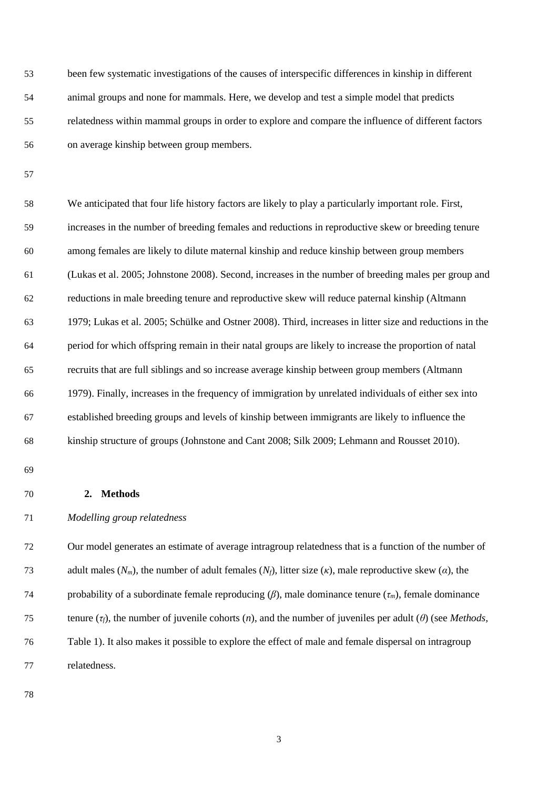been few systematic investigations of the causes of interspecific differences in kinship in different animal groups and none for mammals. Here, we develop and test a simple model that predicts relatedness within mammal groups in order to explore and compare the influence of different factors on average kinship between group members.

 We anticipated that four life history factors are likely to play a particularly important role. First, increases in the number of breeding females and reductions in reproductive skew or breeding tenure among females are likely to dilute maternal kinship and reduce kinship between group members (Lukas et al. 2005; Johnstone 2008). Second, increases in the number of breeding males per group and reductions in male breeding tenure and reproductive skew will reduce paternal kinship (Altmann 1979; Lukas et al. 2005; Schülke and Ostner 2008). Third, increases in litter size and reductions in the period for which offspring remain in their natal groups are likely to increase the proportion of natal recruits that are full siblings and so increase average kinship between group members (Altmann 1979). Finally, increases in the frequency of immigration by unrelated individuals of either sex into established breeding groups and levels of kinship between immigrants are likely to influence the kinship structure of groups (Johnstone and Cant 2008; Silk 2009; Lehmann and Rousset 2010).

## **2. Methods**

*Modelling group relatedness*

 Our model generates an estimate of average intragroup relatedness that is a function of the number of adult males (*Nm*), the number of adult females (*Nf*), litter size (*κ*), male reproductive skew (*α*), the probability of a subordinate female reproducing (*β*), male dominance tenure (*τm*), female dominance tenure (*τf*), the number of juvenile cohorts (*n*), and the number of juveniles per adult (*θ*) (see *Methods,*  Table 1). It also makes it possible to explore the effect of male and female dispersal on intragroup relatedness.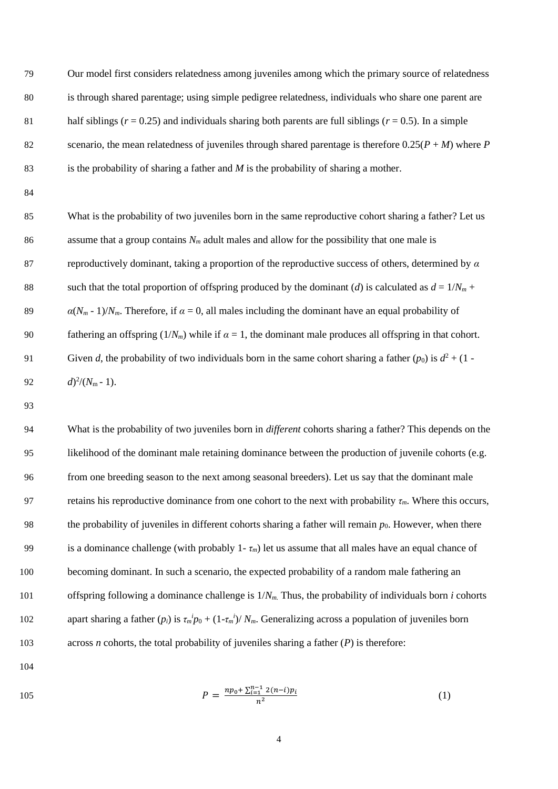Our model first considers relatedness among juveniles among which the primary source of relatedness is through shared parentage; using simple pedigree relatedness, individuals who share one parent are 81 half siblings ( $r = 0.25$ ) and individuals sharing both parents are full siblings ( $r = 0.5$ ). In a simple 82 scenario, the mean relatedness of juveniles through shared parentage is therefore  $0.25(P + M)$  where *P* is the probability of sharing a father and *M* is the probability of sharing a mother.

 What is the probability of two juveniles born in the same reproductive cohort sharing a father? Let us assume that a group contains *N<sup>m</sup>* adult males and allow for the possibility that one male is reproductively dominant, taking a proportion of the reproductive success of others, determined by *α* 88 such that the total proportion of offspring produced by the dominant (*d*) is calculated as  $d = 1/N_m +$  $\alpha(N_m - 1)/N_m$ . Therefore, if  $\alpha = 0$ , all males including the dominant have an equal probability of 90 fathering an offspring  $(1/N_m)$  while if  $\alpha = 1$ , the dominant male produces all offspring in that cohort. Given *d*, the probability of two individuals born in the same cohort sharing a father  $(p_0)$  is  $d^2 + (1 - p_0)^2$  $d)^2/(N_m-1)$ .

 What is the probability of two juveniles born in *different* cohorts sharing a father? This depends on the likelihood of the dominant male retaining dominance between the production of juvenile cohorts (e.g. from one breeding season to the next among seasonal breeders). Let us say that the dominant male 97 retains his reproductive dominance from one cohort to the next with probability  $\tau_m$ . Where this occurs, the probability of juveniles in different cohorts sharing a father will remain *p*0. However, when there 99 is a dominance challenge (with probably  $1 - \tau_m$ ) let us assume that all males have an equal chance of becoming dominant. In such a scenario, the expected probability of a random male fathering an offspring following a dominance challenge is 1/*Nm.* Thus, the probability of individuals born *i* cohorts 102 apart sharing a father  $(p_i)$  is  $\tau_m^i p_0 + (1 - \tau_m^i)/N_m$ . Generalizing across a population of juveniles born across *n* cohorts, the total probability of juveniles sharing a father (*P*) is therefore:

105 
$$
P = \frac{np_0 + \sum_{i=1}^{n-1} 2(n-i)p_i}{n^2}
$$
 (1)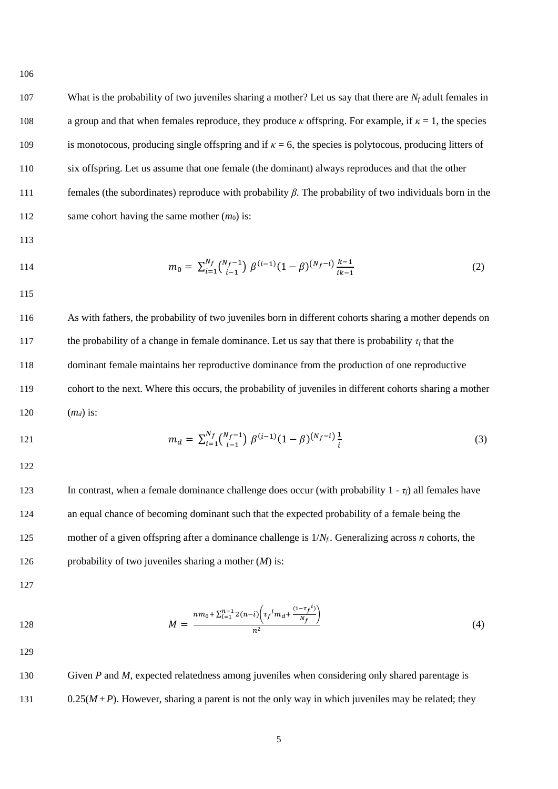107 What is the probability of two juveniles sharing a mother? Let us say that there are  $N_f$  adult females in a group and that when females reproduce, they produce *κ* offspring. For example, if *κ* = 1, the species is monotocous, producing single offspring and if *κ* = 6, the species is polytocous, producing litters of six offspring. Let us assume that one female (the dominant) always reproduces and that the other females (the subordinates) reproduce with probability *β*. The probability of two individuals born in the 112 same cohort having the same mother  $(m_0)$  is:

113

114 
$$
m_0 = \sum_{i=1}^{N_f} {N_f - 1 \choose i-1} \beta^{(i-1)} (1 - \beta)^{(N_f - i)} \frac{k-1}{ik-1}
$$
 (2)

115

116 As with fathers, the probability of two juveniles born in different cohorts sharing a mother depends on 117 the probability of a change in female dominance. Let us say that there is probability  $\tau_f$  that the 118 dominant female maintains her reproductive dominance from the production of one reproductive 119 cohort to the next. Where this occurs, the probability of juveniles in different cohorts sharing a mother 120 (*md*) is:

121 
$$
m_d = \sum_{i=1}^{N_f} {N_f - 1 \choose i-1} \beta^{(i-1)} (1 - \beta)^{(N_f - i)} \frac{1}{i}
$$
 (3)

122

123 In contrast, when a female dominance challenge does occur (with probability  $1 - \tau_f$ ) all females have an equal chance of becoming dominant such that the expected probability of a female being the mother of a given offspring after a dominance challenge is 1/*Nf.*. Generalizing across *n* cohorts, the probability of two juveniles sharing a mother (*M*) is:

127

128 
$$
M = \frac{nm_0 + \sum_{i=1}^{n-1} 2(n-i) \left( \tau_f^i m_d + \frac{(1 - \tau_f^i)}{N_f} \right)}{n^2}
$$
 (4)

129

130 Given *P* and *M*, expected relatedness among juveniles when considering only shared parentage is 131 0.25( $M + P$ ). However, sharing a parent is not the only way in which juveniles may be related; they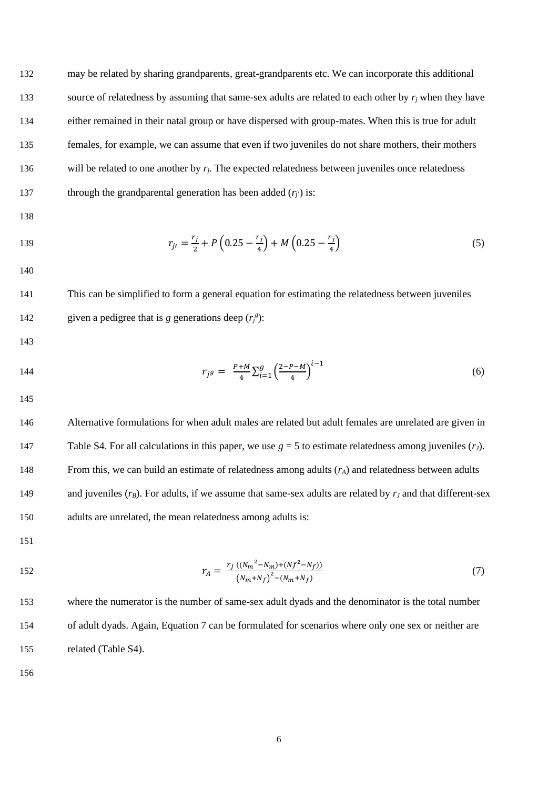132 may be related by sharing grandparents, great-grandparents etc. We can incorporate this additional 133 source of relatedness by assuming that same-sex adults are related to each other by  $r_i$  when they have 134 either remained in their natal group or have dispersed with group-mates. When this is true for adult 135 females, for example, we can assume that even if two juveniles do not share mothers, their mothers 136 will be related to one another by  $r_i$ . The expected relatedness between juveniles once relatedness 137 through the grandparental generation has been added  $(r_i)$  is:

138

139 
$$
r_{j'} = \frac{r_j}{2} + P\left(0.25 - \frac{r_j}{4}\right) + M\left(0.25 - \frac{r_j}{4}\right) \tag{5}
$$

140

141 This can be simplified to form a general equation for estimating the relatedness between juveniles 142 given a pedigree that is *g* generations deep  $(r_j^g)$ :

143

 $r_{j}g = \frac{P+M}{4}$  $\frac{+M}{4} \sum_{i=1}^{g} \left( \frac{2-P-M}{4} \right)$  $\int_{i=1}^{g} \left(\frac{2-P-M}{4}\right)^{i-1}$ 144  $r_j g = \frac{r + m}{4} \sum_{i=1}^{g} \left( \frac{2 - r - m}{4} \right)$  (6)

145

146 Alternative formulations for when adult males are related but adult females are unrelated are given in 147 Table S4. For all calculations in this paper, we use  $g = 5$  to estimate relatedness among juveniles  $(r_J)$ . 148 From this, we can build an estimate of relatedness among adults (*rA*) and relatedness between adults 149 and juveniles ( $r_B$ ). For adults, if we assume that same-sex adults are related by  $r_J$  and that different-sex 150 adults are unrelated, the mean relatedness among adults is:

151

152 
$$
r_A = \frac{r_J ((N_m^2 - N_m) + (N_f^2 - N_f))}{(N_m + N_f)^2 - (N_m + N_f)}
$$
 (7)

<sup>153</sup> where the numerator is the number of same-sex adult dyads and the denominator is the total number 154 of adult dyads. Again, Equation 7 can be formulated for scenarios where only one sex or neither are 155 related (Table S4).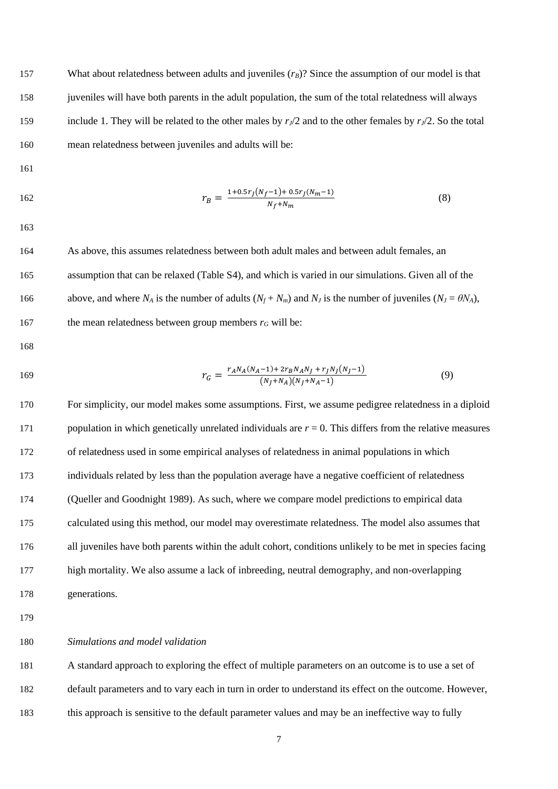157 What about relatedness between adults and juveniles ( $r_B$ )? Since the assumption of our model is that juveniles will have both parents in the adult population, the sum of the total relatedness will always 159 include 1. They will be related to the other males by  $r_l/2$  and to the other females by  $r_l/2$ . So the total mean relatedness between juveniles and adults will be:

162 
$$
r_B = \frac{1 + 0.5r_J(N_f - 1) + 0.5r_J(N_m - 1)}{N_f + N_m}
$$
 (8)

 As above, this assumes relatedness between both adult males and between adult females, an assumption that can be relaxed (Table S4), and which is varied in our simulations. Given all of the 166 above, and where  $N_A$  is the number of adults  $(N_f + N_m)$  and  $N_J$  is the number of juveniles  $(N_J = \theta N_A)$ , 167 the mean relatedness between group members  $r_G$  will be:

$$
169
$$

169 
$$
r_G = \frac{r_A N_A (N_A - 1) + 2r_B N_A N_J + r_J N_J (N_J - 1)}{(N_J + N_A)(N_J + N_A - 1)}
$$
(9)

 For simplicity, our model makes some assumptions. First, we assume pedigree relatedness in a diploid population in which genetically unrelated individuals are *r* = 0. This differs from the relative measures of relatedness used in some empirical analyses of relatedness in animal populations in which individuals related by less than the population average have a negative coefficient of relatedness (Queller and Goodnight 1989). As such, where we compare model predictions to empirical data calculated using this method, our model may overestimate relatedness. The model also assumes that all juveniles have both parents within the adult cohort, conditions unlikely to be met in species facing high mortality. We also assume a lack of inbreeding, neutral demography, and non-overlapping generations.

# *Simulations and model validation*

 A standard approach to exploring the effect of multiple parameters on an outcome is to use a set of default parameters and to vary each in turn in order to understand its effect on the outcome. However, this approach is sensitive to the default parameter values and may be an ineffective way to fully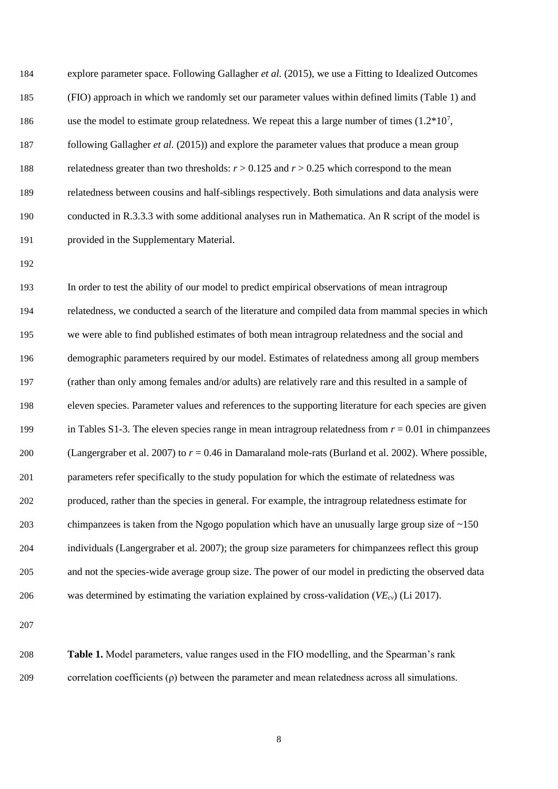| 184 | explore parameter space. Following Gallagher et al. (2015), we use a Fitting to Idealized Outcomes      |
|-----|---------------------------------------------------------------------------------------------------------|
| 185 | (FIO) approach in which we randomly set our parameter values within defined limits (Table 1) and        |
| 186 | use the model to estimate group relatedness. We repeat this a large number of times $(1.2*10^7,$        |
| 187 | following Gallagher et al. (2015)) and explore the parameter values that produce a mean group           |
| 188 | relatedness greater than two thresholds: $r > 0.125$ and $r > 0.25$ which correspond to the mean        |
| 189 | relatedness between cousins and half-siblings respectively. Both simulations and data analysis were     |
| 190 | conducted in R.3.3.3 with some additional analyses run in Mathematica. An R script of the model is      |
| 191 | provided in the Supplementary Material.                                                                 |
| 192 |                                                                                                         |
| 193 | In order to test the ability of our model to predict empirical observations of mean intragroup          |
| 194 | relatedness, we conducted a search of the literature and compiled data from mammal species in which     |
| 195 | we were able to find published estimates of both mean intragroup relatedness and the social and         |
| 196 | demographic parameters required by our model. Estimates of relatedness among all group members          |
| 197 | (rather than only among females and/or adults) are relatively rare and this resulted in a sample of     |
| 198 | eleven species. Parameter values and references to the supporting literature for each species are given |
| 199 | in Tables S1-3. The eleven species range in mean intragroup relatedness from $r = 0.01$ in chimpanzees  |
| 200 | (Langergraber et al. 2007) to $r = 0.46$ in Damaraland mole-rats (Burland et al. 2002). Where possible, |
| 201 | parameters refer specifically to the study population for which the estimate of relatedness was         |
| 202 | produced, rather than the species in general. For example, the intragroup relatedness estimate for      |
| 203 | chimpanzees is taken from the Ngogo population which have an unusually large group size of $\sim$ 150   |
| 204 | individuals (Langergraber et al. 2007); the group size parameters for chimpanzees reflect this group    |
| 205 | and not the species-wide average group size. The power of our model in predicting the observed data     |
| 206 | was determined by estimating the variation explained by cross-validation ( $VE_{cv}$ ) (Li 2017).       |
|     |                                                                                                         |

 **Table 1.** Model parameters, value ranges used in the FIO modelling, and the Spearman's rank correlation coefficients (ρ) between the parameter and mean relatedness across all simulations.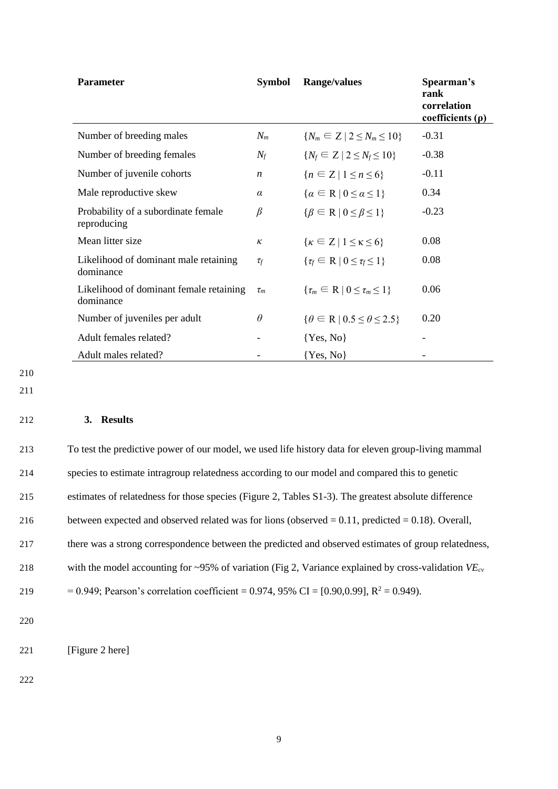| <b>Parameter</b>                                     | <b>Symbol</b>    | Range/values                                          | Spearman's<br>rank<br>correlation<br>coefficients $(\rho)$ |
|------------------------------------------------------|------------------|-------------------------------------------------------|------------------------------------------------------------|
| Number of breeding males                             | $N_m$            | ${N_m \subseteq Z \mid 2 \le N_m \le 10}$             | $-0.31$                                                    |
| Number of breeding females                           | $N_f$            | $\{N_f \in Z \mid 2 \le N_f \le 10\}$                 | $-0.38$                                                    |
| Number of juvenile cohorts                           | $\boldsymbol{n}$ | ${n \in \mathbb{Z} \mid 1 \leq n \leq 6}$             | $-0.11$                                                    |
| Male reproductive skew                               | $\alpha$         | $\{\alpha \in \mathbb{R} \mid 0 \leq \alpha \leq 1\}$ | 0.34                                                       |
| Probability of a subordinate female<br>reproducing   | $\beta$          | $\{\beta \in \mathbb{R} \mid 0 \leq \beta \leq 1\}$   | $-0.23$                                                    |
| Mean litter size                                     | к                | $\{\kappa \in Z \mid 1 \leq \kappa \leq 6\}$          | 0.08                                                       |
| Likelihood of dominant male retaining<br>dominance   | $\tau_f$         | $\{\tau_f \in \mathbb{R} \mid 0 \leq \tau_f \leq 1\}$ | 0.08                                                       |
| Likelihood of dominant female retaining<br>dominance | $\tau_m$         | $\{\tau_m \in \mathbb{R} \mid 0 \leq \tau_m \leq 1\}$ | 0.06                                                       |
| Number of juveniles per adult                        | $\theta$         | $\{\theta \in R \mid 0.5 \leq \theta \leq 2.5\}$      | 0.20                                                       |
| Adult females related?                               |                  | $\{Yes, No\}$                                         |                                                            |
| Adult males related?                                 |                  | {Yes, No}                                             |                                                            |

- 210
- 211

# 212 **3. Results**

| 213 | To test the predictive power of our model, we used life history data for eleven group-living mammal      |
|-----|----------------------------------------------------------------------------------------------------------|
| 214 | species to estimate intragroup relatedness according to our model and compared this to genetic           |
| 215 | estimates of relatedness for those species (Figure 2, Tables S1-3). The greatest absolute difference     |
| 216 | between expected and observed related was for lions (observed $= 0.11$ , predicted $= 0.18$ ). Overall,  |
| 217 | there was a strong correspondence between the predicted and observed estimates of group relatedness,     |
| 218 | with the model accounting for ~95% of variation (Fig 2, Variance explained by cross-validation $VE_{cv}$ |
| 219 | = 0.949; Pearson's correlation coefficient = 0.974, 95% CI = [0.90,0.99], $R^2$ = 0.949).                |
| 220 |                                                                                                          |

221 [Figure 2 here]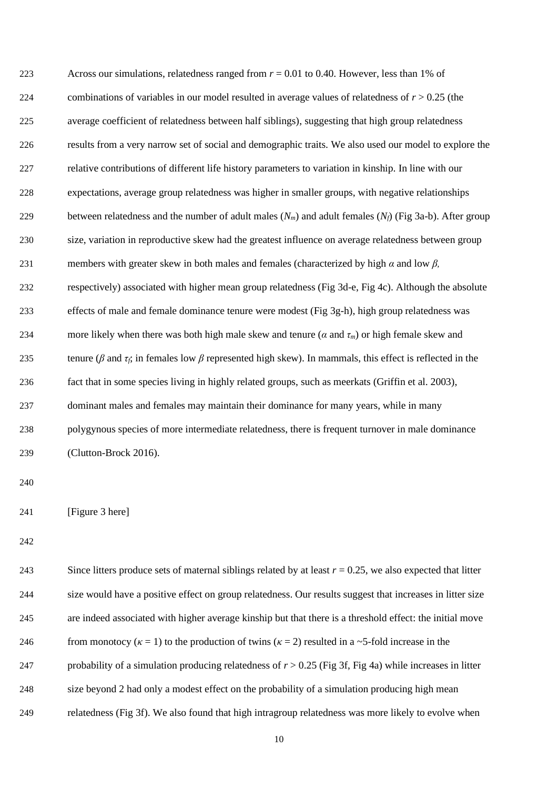| 223 | Across our simulations, relatedness ranged from $r = 0.01$ to 0.40. However, less than 1% of                               |
|-----|----------------------------------------------------------------------------------------------------------------------------|
| 224 | combinations of variables in our model resulted in average values of relatedness of $r > 0.25$ (the                        |
| 225 | average coefficient of relatedness between half siblings), suggesting that high group relatedness                          |
| 226 | results from a very narrow set of social and demographic traits. We also used our model to explore the                     |
| 227 | relative contributions of different life history parameters to variation in kinship. In line with our                      |
| 228 | expectations, average group relatedness was higher in smaller groups, with negative relationships                          |
| 229 | between relatedness and the number of adult males $(N_m)$ and adult females $(N_f)$ (Fig 3a-b). After group                |
| 230 | size, variation in reproductive skew had the greatest influence on average relatedness between group                       |
| 231 | members with greater skew in both males and females (characterized by high $\alpha$ and low $\beta$ ,                      |
| 232 | respectively) associated with higher mean group relatedness (Fig 3d-e, Fig 4c). Although the absolute                      |
| 233 | effects of male and female dominance tenure were modest (Fig 3g-h), high group relatedness was                             |
| 234 | more likely when there was both high male skew and tenure ( $\alpha$ and $\tau_m$ ) or high female skew and                |
| 235 | tenure ( $\beta$ and $\tau_f$ ; in females low $\beta$ represented high skew). In mammals, this effect is reflected in the |
| 236 | fact that in some species living in highly related groups, such as meerkats (Griffin et al. 2003),                         |
| 237 | dominant males and females may maintain their dominance for many years, while in many                                      |
| 238 | polygynous species of more intermediate relatedness, there is frequent turnover in male dominance                          |
| 239 | (Clutton-Brock 2016).                                                                                                      |
| 240 |                                                                                                                            |
| 241 | [Figure 3 here]                                                                                                            |
|     |                                                                                                                            |
| 242 |                                                                                                                            |
| 243 | Since litters produce sets of maternal siblings related by at least $r = 0.25$ , we also expected that litter              |
| 244 | size would have a positive effect on group relatedness. Our results suggest that increases in litter size                  |
| 245 | are indeed associated with higher average kinship but that there is a threshold effect: the initial move                   |
| 246 | from monotocy ( $\kappa = 1$ ) to the production of twins ( $\kappa = 2$ ) resulted in a ~5-fold increase in the           |
| 247 | probability of a simulation producing relatedness of $r > 0.25$ (Fig 3f, Fig 4a) while increases in litter                 |
|     |                                                                                                                            |

size beyond 2 had only a modest effect on the probability of a simulation producing high mean

relatedness (Fig 3f). We also found that high intragroup relatedness was more likely to evolve when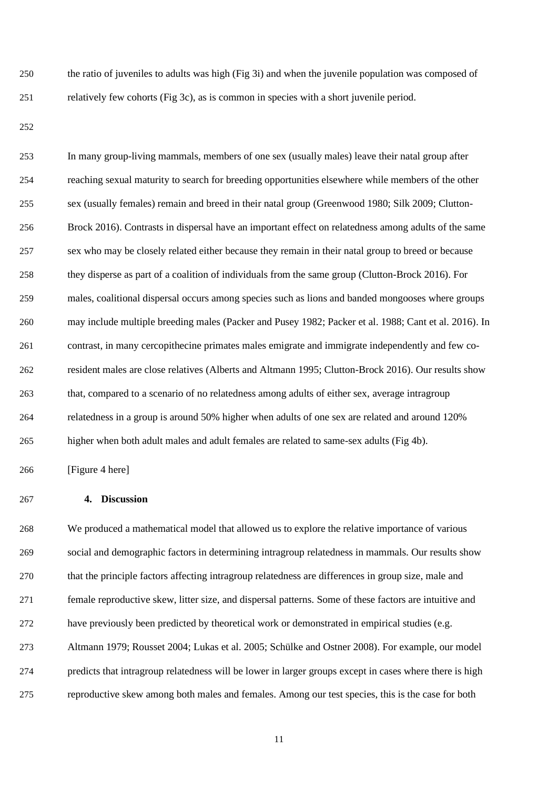the ratio of juveniles to adults was high (Fig 3i) and when the juvenile population was composed of relatively few cohorts (Fig 3c), as is common in species with a short juvenile period.

 In many group-living mammals, members of one sex (usually males) leave their natal group after reaching sexual maturity to search for breeding opportunities elsewhere while members of the other sex (usually females) remain and breed in their natal group (Greenwood 1980; Silk 2009; Clutton- Brock 2016). Contrasts in dispersal have an important effect on relatedness among adults of the same sex who may be closely related either because they remain in their natal group to breed or because they disperse as part of a coalition of individuals from the same group (Clutton-Brock 2016). For males, coalitional dispersal occurs among species such as lions and banded mongooses where groups may include multiple breeding males (Packer and Pusey 1982; Packer et al. 1988; Cant et al. 2016). In contrast, in many cercopithecine primates males emigrate and immigrate independently and few co- resident males are close relatives (Alberts and Altmann 1995; Clutton-Brock 2016). Our results show that, compared to a scenario of no relatedness among adults of either sex, average intragroup relatedness in a group is around 50% higher when adults of one sex are related and around 120% higher when both adult males and adult females are related to same-sex adults (Fig 4b).

[Figure 4 here]

### **4. Discussion**

 We produced a mathematical model that allowed us to explore the relative importance of various social and demographic factors in determining intragroup relatedness in mammals. Our results show that the principle factors affecting intragroup relatedness are differences in group size, male and female reproductive skew, litter size, and dispersal patterns. Some of these factors are intuitive and have previously been predicted by theoretical work or demonstrated in empirical studies (e.g. Altmann 1979; Rousset 2004; Lukas et al. 2005; Schülke and Ostner 2008). For example, our model predicts that intragroup relatedness will be lower in larger groups except in cases where there is high reproductive skew among both males and females. Among our test species, this is the case for both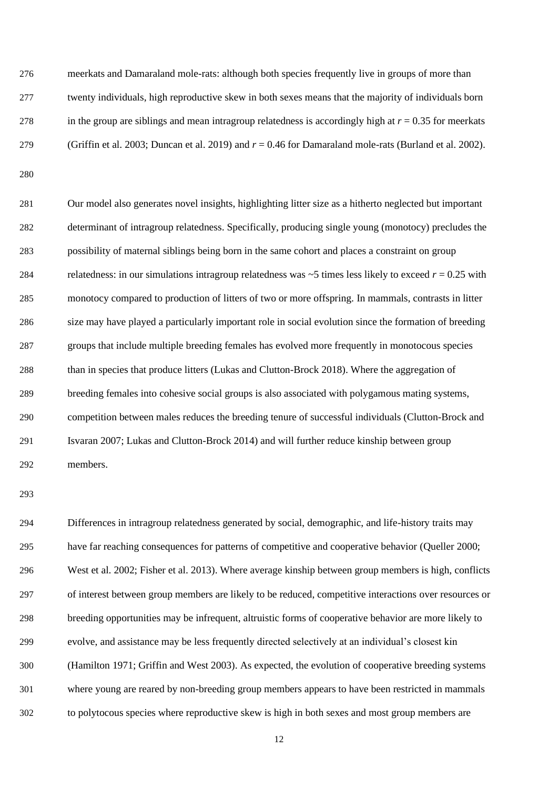meerkats and Damaraland mole-rats: although both species frequently live in groups of more than twenty individuals, high reproductive skew in both sexes means that the majority of individuals born 278 in the group are siblings and mean intragroup relatedness is accordingly high at  $r = 0.35$  for meerkats (Griffin et al. 2003; Duncan et al. 2019) and *r* = 0.46 for Damaraland mole-rats (Burland et al. 2002).

 Our model also generates novel insights, highlighting litter size as a hitherto neglected but important determinant of intragroup relatedness. Specifically, producing single young (monotocy) precludes the possibility of maternal siblings being born in the same cohort and places a constraint on group 284 relatedness: in our simulations intragroup relatedness was  $\sim$  5 times less likely to exceed  $r = 0.25$  with monotocy compared to production of litters of two or more offspring. In mammals, contrasts in litter size may have played a particularly important role in social evolution since the formation of breeding groups that include multiple breeding females has evolved more frequently in monotocous species than in species that produce litters (Lukas and Clutton-Brock 2018). Where the aggregation of breeding females into cohesive social groups is also associated with polygamous mating systems, competition between males reduces the breeding tenure of successful individuals (Clutton-Brock and Isvaran 2007; Lukas and Clutton-Brock 2014) and will further reduce kinship between group members.

 Differences in intragroup relatedness generated by social, demographic, and life-history traits may have far reaching consequences for patterns of competitive and cooperative behavior (Queller 2000; West et al. 2002; Fisher et al. 2013). Where average kinship between group members is high, conflicts of interest between group members are likely to be reduced, competitive interactions over resources or breeding opportunities may be infrequent, altruistic forms of cooperative behavior are more likely to evolve, and assistance may be less frequently directed selectively at an individual's closest kin (Hamilton 1971; Griffin and West 2003). As expected, the evolution of cooperative breeding systems where young are reared by non-breeding group members appears to have been restricted in mammals to polytocous species where reproductive skew is high in both sexes and most group members are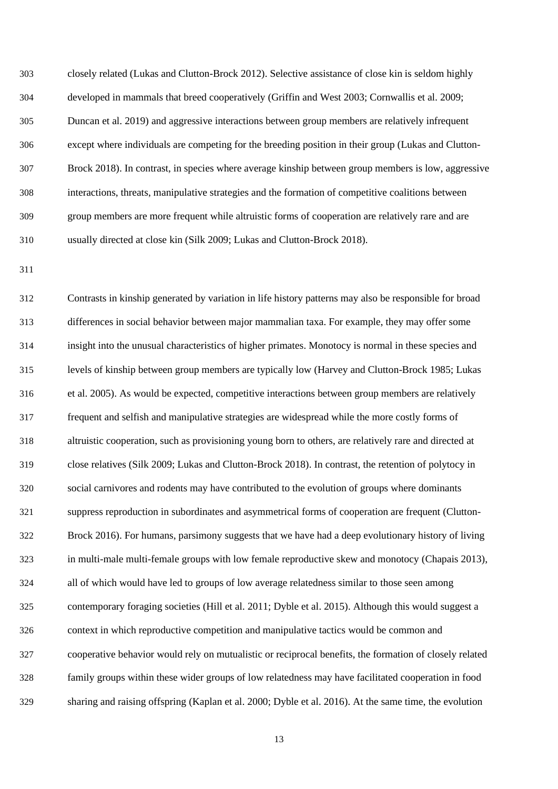closely related (Lukas and Clutton-Brock 2012). Selective assistance of close kin is seldom highly developed in mammals that breed cooperatively (Griffin and West 2003; Cornwallis et al. 2009; Duncan et al. 2019) and aggressive interactions between group members are relatively infrequent except where individuals are competing for the breeding position in their group (Lukas and Clutton- Brock 2018). In contrast, in species where average kinship between group members is low, aggressive interactions, threats, manipulative strategies and the formation of competitive coalitions between group members are more frequent while altruistic forms of cooperation are relatively rare and are usually directed at close kin (Silk 2009; Lukas and Clutton-Brock 2018).

 Contrasts in kinship generated by variation in life history patterns may also be responsible for broad differences in social behavior between major mammalian taxa. For example, they may offer some insight into the unusual characteristics of higher primates. Monotocy is normal in these species and levels of kinship between group members are typically low (Harvey and Clutton-Brock 1985; Lukas et al. 2005). As would be expected, competitive interactions between group members are relatively frequent and selfish and manipulative strategies are widespread while the more costly forms of altruistic cooperation, such as provisioning young born to others, are relatively rare and directed at close relatives (Silk 2009; Lukas and Clutton-Brock 2018). In contrast, the retention of polytocy in social carnivores and rodents may have contributed to the evolution of groups where dominants suppress reproduction in subordinates and asymmetrical forms of cooperation are frequent (Clutton- Brock 2016). For humans, parsimony suggests that we have had a deep evolutionary history of living in multi-male multi-female groups with low female reproductive skew and monotocy (Chapais 2013), all of which would have led to groups of low average relatedness similar to those seen among contemporary foraging societies (Hill et al. 2011; Dyble et al. 2015). Although this would suggest a context in which reproductive competition and manipulative tactics would be common and cooperative behavior would rely on mutualistic or reciprocal benefits, the formation of closely related family groups within these wider groups of low relatedness may have facilitated cooperation in food sharing and raising offspring (Kaplan et al. 2000; Dyble et al. 2016). At the same time, the evolution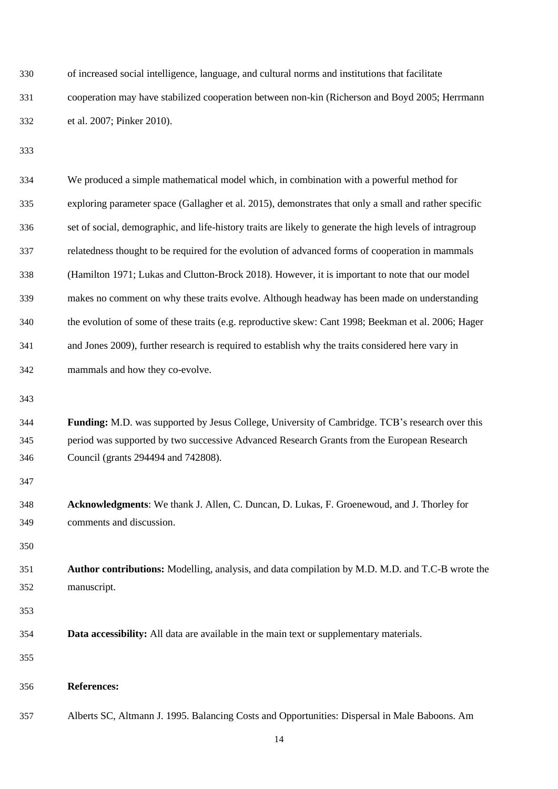| 330 | of increased social intelligence, language, and cultural norms and institutions that facilitate |
|-----|-------------------------------------------------------------------------------------------------|
| 331 | cooperation may have stabilized cooperation between non-kin (Richerson and Boyd 2005; Herrmann  |
| 332 | et al. 2007; Pinker 2010).                                                                      |

| 334 | We produced a simple mathematical model which, in combination with a powerful method for                 |
|-----|----------------------------------------------------------------------------------------------------------|
| 335 | exploring parameter space (Gallagher et al. 2015), demonstrates that only a small and rather specific    |
| 336 | set of social, demographic, and life-history traits are likely to generate the high levels of intragroup |
| 337 | relatedness thought to be required for the evolution of advanced forms of cooperation in mammals         |
| 338 | (Hamilton 1971; Lukas and Clutton-Brock 2018). However, it is important to note that our model           |
| 339 | makes no comment on why these traits evolve. Although headway has been made on understanding             |
| 340 | the evolution of some of these traits (e.g. reproductive skew: Cant 1998; Beekman et al. 2006; Hager     |
| 341 | and Jones 2009), further research is required to establish why the traits considered here vary in        |
| 342 | mammals and how they co-evolve.                                                                          |
| 343 |                                                                                                          |
| 344 | Funding: M.D. was supported by Jesus College, University of Cambridge. TCB's research over this          |
| 345 | period was supported by two successive Advanced Research Grants from the European Research               |
| 346 | Council (grants 294494 and 742808).                                                                      |
| 347 |                                                                                                          |
| 348 | Acknowledgments: We thank J. Allen, C. Duncan, D. Lukas, F. Groenewoud, and J. Thorley for               |
| 349 | comments and discussion.                                                                                 |
| 350 |                                                                                                          |
| 351 | <b>Author contributions:</b> Modelling, analysis, and data compilation by M.D. M.D. and T.C-B wrote the  |
| 352 | manuscript.                                                                                              |
| 353 |                                                                                                          |
| 354 | <b>Data accessibility:</b> All data are available in the main text or supplementary materials.           |
| 355 |                                                                                                          |
| 356 | <b>References:</b>                                                                                       |
| 357 | Alberts SC, Altmann J. 1995. Balancing Costs and Opportunities: Dispersal in Male Baboons. Am            |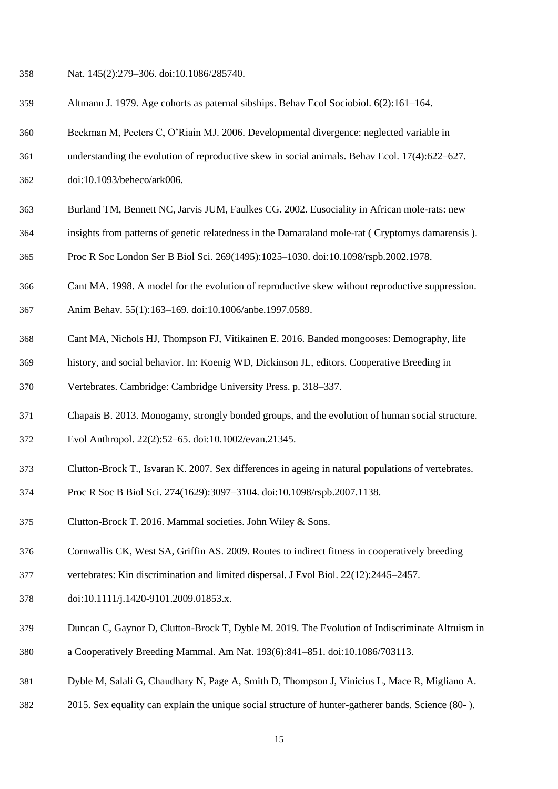Nat. 145(2):279–306. doi:10.1086/285740.

- Altmann J. 1979. Age cohorts as paternal sibships. Behav Ecol Sociobiol. 6(2):161–164.
- Beekman M, Peeters C, O'Riain MJ. 2006. Developmental divergence: neglected variable in
- understanding the evolution of reproductive skew in social animals. Behav Ecol. 17(4):622–627.
- doi:10.1093/beheco/ark006.
- Burland TM, Bennett NC, Jarvis JUM, Faulkes CG. 2002. Eusociality in African mole-rats: new
- insights from patterns of genetic relatedness in the Damaraland mole-rat ( Cryptomys damarensis ).
- Proc R Soc London Ser B Biol Sci. 269(1495):1025–1030. doi:10.1098/rspb.2002.1978.
- Cant MA. 1998. A model for the evolution of reproductive skew without reproductive suppression. Anim Behav. 55(1):163–169. doi:10.1006/anbe.1997.0589.
- Cant MA, Nichols HJ, Thompson FJ, Vitikainen E. 2016. Banded mongooses: Demography, life
- history, and social behavior. In: Koenig WD, Dickinson JL, editors. Cooperative Breeding in
- Vertebrates. Cambridge: Cambridge University Press. p. 318–337.
- Chapais B. 2013. Monogamy, strongly bonded groups, and the evolution of human social structure.
- Evol Anthropol. 22(2):52–65. doi:10.1002/evan.21345.
- Clutton-Brock T., Isvaran K. 2007. Sex differences in ageing in natural populations of vertebrates.
- Proc R Soc B Biol Sci. 274(1629):3097–3104. doi:10.1098/rspb.2007.1138.
- Clutton-Brock T. 2016. Mammal societies. John Wiley & Sons.
- Cornwallis CK, West SA, Griffin AS. 2009. Routes to indirect fitness in cooperatively breeding
- vertebrates: Kin discrimination and limited dispersal. J Evol Biol. 22(12):2445–2457.
- doi:10.1111/j.1420-9101.2009.01853.x.
- Duncan C, Gaynor D, Clutton-Brock T, Dyble M. 2019. The Evolution of Indiscriminate Altruism in a Cooperatively Breeding Mammal. Am Nat. 193(6):841–851. doi:10.1086/703113.
- Dyble M, Salali G, Chaudhary N, Page A, Smith D, Thompson J, Vinicius L, Mace R, Migliano A.
- 2015. Sex equality can explain the unique social structure of hunter-gatherer bands. Science (80- ).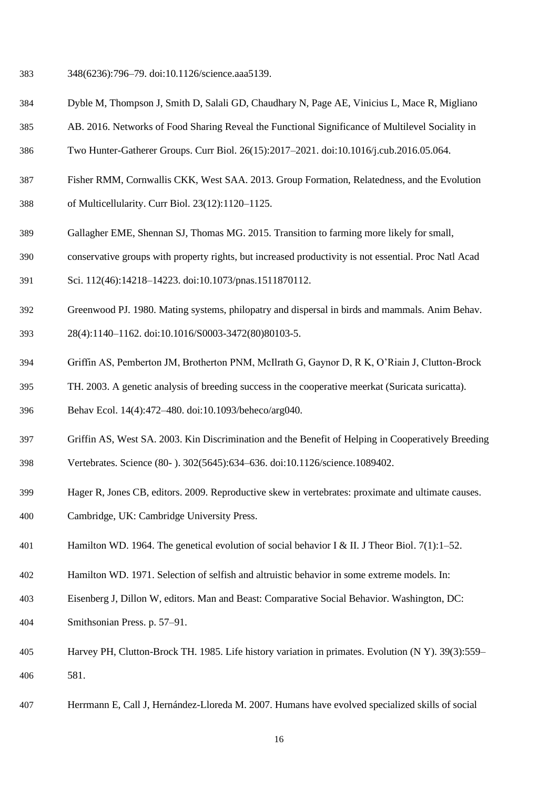- 348(6236):796–79. doi:10.1126/science.aaa5139.
- Dyble M, Thompson J, Smith D, Salali GD, Chaudhary N, Page AE, Vinicius L, Mace R, Migliano
- AB. 2016. Networks of Food Sharing Reveal the Functional Significance of Multilevel Sociality in
- Two Hunter-Gatherer Groups. Curr Biol. 26(15):2017–2021. doi:10.1016/j.cub.2016.05.064.
- Fisher RMM, Cornwallis CKK, West SAA. 2013. Group Formation, Relatedness, and the Evolution of Multicellularity. Curr Biol. 23(12):1120–1125.
- Gallagher EME, Shennan SJ, Thomas MG. 2015. Transition to farming more likely for small,
- conservative groups with property rights, but increased productivity is not essential. Proc Natl Acad
- Sci. 112(46):14218–14223. doi:10.1073/pnas.1511870112.
- Greenwood PJ. 1980. Mating systems, philopatry and dispersal in birds and mammals. Anim Behav.
- 28(4):1140–1162. doi:10.1016/S0003-3472(80)80103-5.
- Griffin AS, Pemberton JM, Brotherton PNM, McIlrath G, Gaynor D, R K, O'Riain J, Clutton-Brock
- TH. 2003. A genetic analysis of breeding success in the cooperative meerkat (Suricata suricatta).
- Behav Ecol. 14(4):472–480. doi:10.1093/beheco/arg040.
- Griffin AS, West SA. 2003. Kin Discrimination and the Benefit of Helping in Cooperatively Breeding
- Vertebrates. Science (80- ). 302(5645):634–636. doi:10.1126/science.1089402.
- Hager R, Jones CB, editors. 2009. Reproductive skew in vertebrates: proximate and ultimate causes.
- Cambridge, UK: Cambridge University Press.
- Hamilton WD. 1964. The genetical evolution of social behavior I & II. J Theor Biol. 7(1):1–52.
- Hamilton WD. 1971. Selection of selfish and altruistic behavior in some extreme models. In:
- Eisenberg J, Dillon W, editors. Man and Beast: Comparative Social Behavior. Washington, DC:
- Smithsonian Press. p. 57–91.
- Harvey PH, Clutton-Brock TH. 1985. Life history variation in primates. Evolution (N Y). 39(3):559– 581.
- Herrmann E, Call J, Hernández-Lloreda M. 2007. Humans have evolved specialized skills of social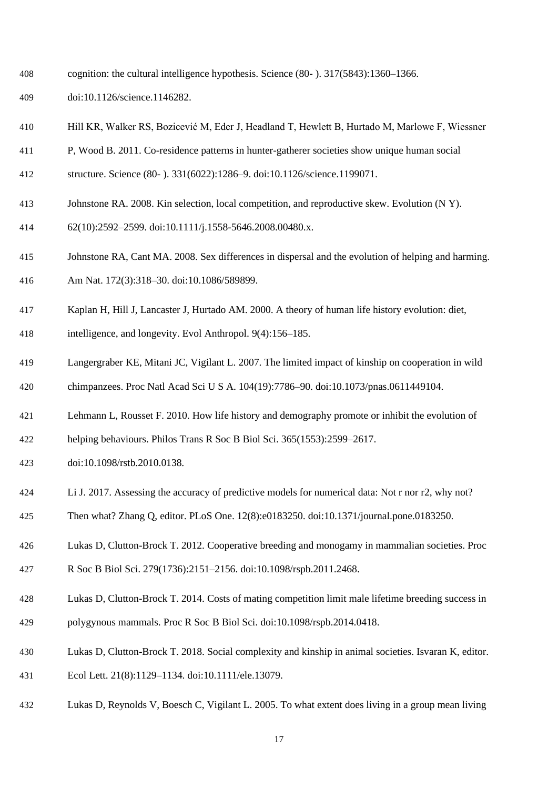- cognition: the cultural intelligence hypothesis. Science (80- ). 317(5843):1360–1366.
- doi:10.1126/science.1146282.
- Hill KR, Walker RS, Bozicević M, Eder J, Headland T, Hewlett B, Hurtado M, Marlowe F, Wiessner
- P, Wood B. 2011. Co-residence patterns in hunter-gatherer societies show unique human social
- structure. Science (80- ). 331(6022):1286–9. doi:10.1126/science.1199071.
- Johnstone RA. 2008. Kin selection, local competition, and reproductive skew. Evolution (N Y).
- 62(10):2592–2599. doi:10.1111/j.1558-5646.2008.00480.x.
- Johnstone RA, Cant MA. 2008. Sex differences in dispersal and the evolution of helping and harming.
- Am Nat. 172(3):318–30. doi:10.1086/589899.
- Kaplan H, Hill J, Lancaster J, Hurtado AM. 2000. A theory of human life history evolution: diet,
- intelligence, and longevity. Evol Anthropol. 9(4):156–185.
- Langergraber KE, Mitani JC, Vigilant L. 2007. The limited impact of kinship on cooperation in wild chimpanzees. Proc Natl Acad Sci U S A. 104(19):7786–90. doi:10.1073/pnas.0611449104.
- Lehmann L, Rousset F. 2010. How life history and demography promote or inhibit the evolution of
- helping behaviours. Philos Trans R Soc B Biol Sci. 365(1553):2599–2617.
- doi:10.1098/rstb.2010.0138.
- Li J. 2017. Assessing the accuracy of predictive models for numerical data: Not r nor r2, why not?
- Then what? Zhang Q, editor. PLoS One. 12(8):e0183250. doi:10.1371/journal.pone.0183250.
- Lukas D, Clutton-Brock T. 2012. Cooperative breeding and monogamy in mammalian societies. Proc
- R Soc B Biol Sci. 279(1736):2151–2156. doi:10.1098/rspb.2011.2468.
- Lukas D, Clutton-Brock T. 2014. Costs of mating competition limit male lifetime breeding success in polygynous mammals. Proc R Soc B Biol Sci. doi:10.1098/rspb.2014.0418.
- Lukas D, Clutton-Brock T. 2018. Social complexity and kinship in animal societies. Isvaran K, editor.
- Ecol Lett. 21(8):1129–1134. doi:10.1111/ele.13079.
- Lukas D, Reynolds V, Boesch C, Vigilant L. 2005. To what extent does living in a group mean living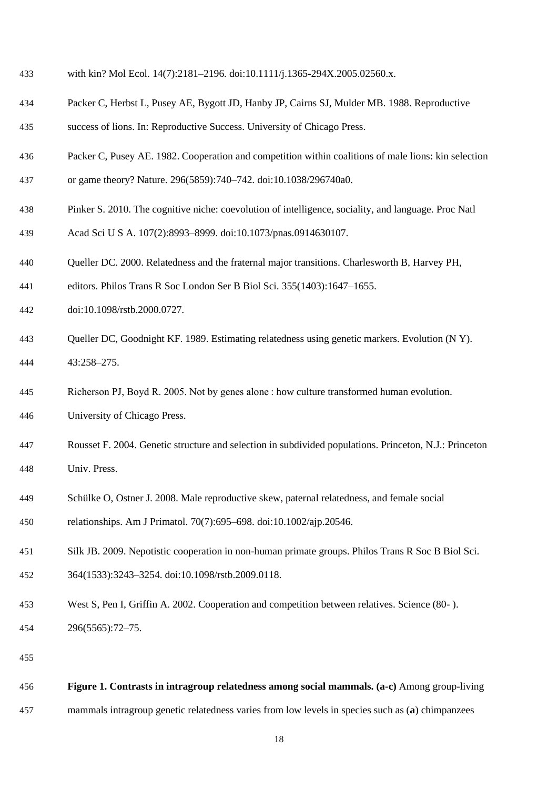- with kin? Mol Ecol. 14(7):2181–2196. doi:10.1111/j.1365-294X.2005.02560.x.
- Packer C, Herbst L, Pusey AE, Bygott JD, Hanby JP, Cairns SJ, Mulder MB. 1988. Reproductive success of lions. In: Reproductive Success. University of Chicago Press.
- Packer C, Pusey AE. 1982. Cooperation and competition within coalitions of male lions: kin selection or game theory? Nature. 296(5859):740–742. doi:10.1038/296740a0.
- Pinker S. 2010. The cognitive niche: coevolution of intelligence, sociality, and language. Proc Natl
- Acad Sci U S A. 107(2):8993–8999. doi:10.1073/pnas.0914630107.
- Queller DC. 2000. Relatedness and the fraternal major transitions. Charlesworth B, Harvey PH,
- editors. Philos Trans R Soc London Ser B Biol Sci. 355(1403):1647–1655.
- doi:10.1098/rstb.2000.0727.
- Queller DC, Goodnight KF. 1989. Estimating relatedness using genetic markers. Evolution (N Y). 43:258–275.
- Richerson PJ, Boyd R. 2005. Not by genes alone : how culture transformed human evolution. University of Chicago Press.
- Rousset F. 2004. Genetic structure and selection in subdivided populations. Princeton, N.J.: Princeton Univ. Press.
- Schülke O, Ostner J. 2008. Male reproductive skew, paternal relatedness, and female social

relationships. Am J Primatol. 70(7):695–698. doi:10.1002/ajp.20546.

- Silk JB. 2009. Nepotistic cooperation in non-human primate groups. Philos Trans R Soc B Biol Sci.
- 364(1533):3243–3254. doi:10.1098/rstb.2009.0118.
- West S, Pen I, Griffin A. 2002. Cooperation and competition between relatives. Science (80- ). 296(5565):72–75.
- 

```
456 Figure 1. Contrasts in intragroup relatedness among social mammals. (a-c) Among group-living 
457 mammals intragroup genetic relatedness varies from low levels in species such as (a) chimpanzees
```